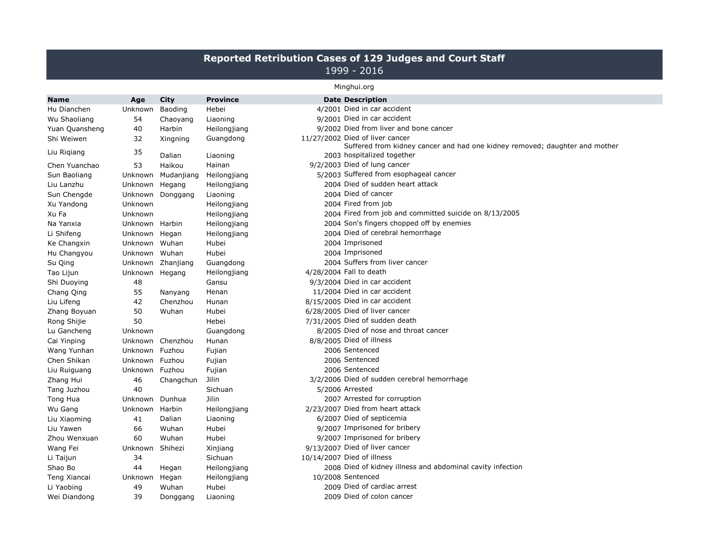## **Reported Retribution Cases of 129 Judges and Court Staff** 1999 - 2016

## Minghui.org

| <b>Name</b>    | Age            | City              | <b>Province</b> | <b>Date Description</b>                                                                                        |
|----------------|----------------|-------------------|-----------------|----------------------------------------------------------------------------------------------------------------|
| Hu Dianchen    | Unknown        | Baoding           | Hebei           | 4/2001 Died in car accident                                                                                    |
| Wu Shaoliang   | 54             | Chaoyang          | Liaoning        | 9/2001 Died in car accident                                                                                    |
| Yuan Quansheng | 40             | Harbin            | Heilongjiang    | 9/2002 Died from liver and bone cancer                                                                         |
| Shi Weiwen     | 32             | Xingning          | Guangdong       | 11/27/2002 Died of liver cancer<br>Suffered from kidney cancer and had one kidney removed; daughter and mother |
| Liu Rigiang    | 35             | Dalian            | Liaoning        | 2003 hospitalized together                                                                                     |
| Chen Yuanchao  | 53             | Haikou            | Hainan          | 9/2/2003 Died of lung cancer                                                                                   |
| Sun Baoliang   | Unknown        | Mudanjiang        | Heilongjiang    | 5/2003 Suffered from esophageal cancer                                                                         |
| Liu Lanzhu     | Unknown Hegang |                   | Heilongjiang    | 2004 Died of sudden heart attack                                                                               |
| Sun Chengde    |                | Unknown Donggang  | Liaoning        | 2004 Died of cancer                                                                                            |
| Xu Yandong     | Unknown        |                   | Heilongjiang    | 2004 Fired from job                                                                                            |
| Xu Fa          | Unknown        |                   | Heilongjiang    | 2004 Fired from job and committed suicide on 8/13/2005                                                         |
| Na Yanxia      | Unknown Harbin |                   | Heilongjiang    | 2004 Son's fingers chopped off by enemies                                                                      |
| Li Shifeng     | Unknown Hegan  |                   | Heilongjiang    | 2004 Died of cerebral hemorrhage                                                                               |
| Ke Changxin    | Unknown Wuhan  |                   | Hubei           | 2004 Imprisoned                                                                                                |
| Hu Changyou    | Unknown Wuhan  |                   | Hubei           | 2004 Imprisoned                                                                                                |
| Su Qing        |                | Unknown Zhanjiang | Guangdong       | 2004 Suffers from liver cancer                                                                                 |
| Tao Lijun      | Unknown Hegang |                   | Heilongjiang    | 4/28/2004 Fall to death                                                                                        |
| Shi Duoying    | 48             |                   | Gansu           | 9/3/2004 Died in car accident                                                                                  |
| Chang Qing     | 55             | Nanyang           | Henan           | 11/2004 Died in car accident                                                                                   |
| Liu Lifeng     | 42             | Chenzhou          | Hunan           | 8/15/2005 Died in car accident                                                                                 |
| Zhang Boyuan   | 50             | Wuhan             | Hubei           | 6/28/2005 Died of liver cancer                                                                                 |
| Rong Shijie    | 50             |                   | Hebei           | 7/31/2005 Died of sudden death                                                                                 |
| Lu Gancheng    | Unknown        |                   | Guangdong       | 8/2005 Died of nose and throat cancer                                                                          |
| Cai Yinping    |                | Unknown Chenzhou  | Hunan           | 8/8/2005 Died of illness                                                                                       |
| Wang Yunhan    | Unknown Fuzhou |                   | Fujian          | 2006 Sentenced                                                                                                 |
| Chen Shikan    | Unknown Fuzhou |                   | Fujian          | 2006 Sentenced                                                                                                 |
| Liu Ruiguang   | Unknown Fuzhou |                   | Fujian          | 2006 Sentenced                                                                                                 |
| Zhang Hui      | 46             | Changchun         | Jilin           | 3/2/2006 Died of sudden cerebral hemorrhage                                                                    |
| Tang Juzhou    | 40             |                   | Sichuan         | 5/2006 Arrested                                                                                                |
| Tong Hua       | Unknown        | Dunhua            | Jilin           | 2007 Arrested for corruption                                                                                   |
| Wu Gang        | Unknown Harbin |                   | Heilongjiang    | 2/23/2007 Died from heart attack                                                                               |
| Liu Xiaoming   | 41             | Dalian            | Liaoning        | 6/2007 Died of septicemia                                                                                      |
| Liu Yawen      | 66             | Wuhan             | Hubei           | 9/2007 Imprisoned for bribery                                                                                  |
| Zhou Wenxuan   | 60             | Wuhan             | Hubei           | 9/2007 Imprisoned for bribery                                                                                  |
| Wang Fei       | Unknown        | Shihezi           | Xinjiang        | 9/13/2007 Died of liver cancer                                                                                 |
| Li Taijun      | 34             |                   | Sichuan         | 10/14/2007 Died of illness                                                                                     |
| Shao Bo        | 44             | Hegan             | Heilongjiang    | 2008 Died of kidney illness and abdominal cavity infection                                                     |
| Teng Xiancai   | Unknown        | Hegan             | Heilongjiang    | 10/2008 Sentenced                                                                                              |
| Li Yaobing     | 49             | Wuhan             | Hubei           | 2009 Died of cardiac arrest                                                                                    |
| Wei Diandong   | 39             | Donggang          | Liaoning        | 2009 Died of colon cancer                                                                                      |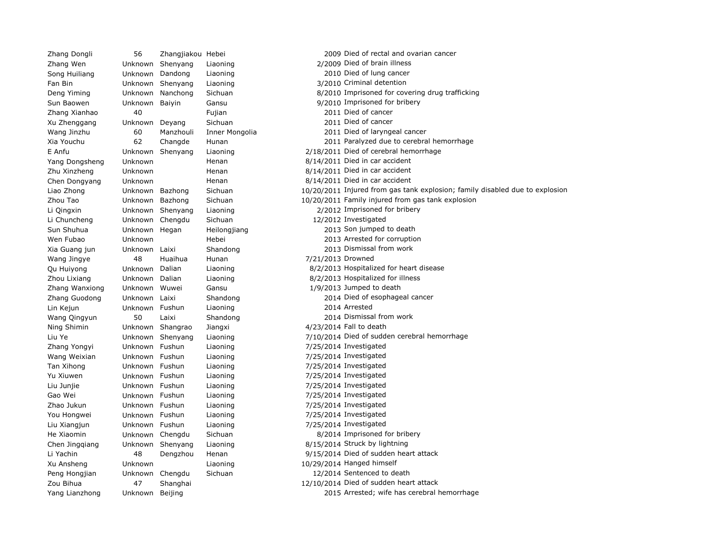Zhang Wen Unknown Shenyang Liaoning 2/2009 Died of brain illness Song Huiliang Unknown Dandong Liaoning 2010 Died of lung cancer Fan Bin Unknown Shenyang Liaoning 3/2010 Criminal detention Zhang Xianhao 40 Fujian 2011 Died of cancer Xu Zhenggang Unknown Deyang Sichuan 2011 Died of cancer Yang Dongsheng Unknown Henan 1997 Henan 8/14/2011 Died in car accident Zhu Xinzheng Unknown Henan 8/14/2011 Died in car accident Chen Dongyang Unknown Henan 8/14/2011 Died in car accident Li Chuncheng Unknown Chengdu Sichuan 12/2012 Investigated Wang Jingye  $\begin{array}{ccc} 48 & \text{Huaihua} & \text{Hunan} & \text{7/21/2013 Drowned} \end{array}$ Zhang Wanxiong Unknown Wuwei Gansu 1/9/2013 Jumped to death Lin Kejun Unknown Fushun Liaoning 2014 Arrested Ning Shimin Unknown Shangrao Jiangxi 4/23/2014 Fall to death Zhang Yongyi Unknown Fushun Liaoning 7/25/2014 Investigated Wang Weixian Unknown Fushun Liaoning 17/25/2014 Investigated Tan Xihong Unknown Fushun Liaoning 7/25/2014 Investigated Yu Xiuwen **Unknown Fushun** Liaoning 17/25/2014 Investigated Liu Junjie Unknown Fushun Liaoning 7/25/2014 Investigated Gao Wei **1. Unknown Fushun** Liaoning 1.1 1.1 1.125/2014 Investigated Zhao Jukun Unknown Fushun Liaoning 7/25/2014 Investigated You Hongwei Unknown Fushun Liaoning 2012 125/2014 Investigated Liu Xiangjun Unknown Fushun Liaoning 7/25/2014 Investigated Chen Jingqiang Unknown Shenyang Liaoning 8/15/2014 Struck by lightning Xu Ansheng Unknown Liaoning 10/29/2014 Hanged himself Peng Hongjian Unknown Chengdu Sichuan 12/2014 Sentenced to death

Zhang Dongli 56 Zhangjiakou Hebei 2009 Died of rectal and ovarian cancer Deng Yiming Unknown Nanchong Sichuan 8/2010 Imprisoned for covering drug trafficking Sun Baowen **Unknown** Baiyin Gansu **Gansu** 9/2010 Imprisoned for bribery Wang Jinzhu 60 Manzhouli Inner Mongolia 2011 Died of laryngeal cancer Xia Youchu 62 Changde Hunan 2011 Paralyzed due to cerebral hemorrhage E Anfu Unknown Shenyang Liaoning 2/18/2011 Died of cerebral hemorrhage Liao Zhong Unknown Bazhong Sichuan 10/20/2011 Injured from gas tank explosion; family disabled due to explosion Zhou Tao Unknown Bazhong Sichuan 10/20/2011 Family injured from gas tank explosion Li Qingxin Unknown Shenyang Liaoning 2/2012 Imprisoned for bribery Sun Shuhua Unknown Hegan Heilongjiang 2013 Son jumped to death Wen Fubao Unknown Hebei 2013 Arrested for corruption Xia Guang jun Unknown Laixi Shandong 2013 Dismissal from work Qu Huiyong Unknown Dalian Liaoning 8/2/2013 Hospitalized for heart disease Zhou Lixiang Unknown Dalian Liaoning 8/2/2013 Hospitalized for illness Zhang Guodong Unknown Laixi Shandong 2014 Died of esophageal cancer Wang Qingyun 50 Laixi Shandong 2014 Dismissal from work Liu Ye Unknown Shenyang Liaoning 7/10/2014 Died of sudden cerebral hemorrhage He Xiaomin **Unknown** Chengdu Sichuan **1999** Sichuan 8/2014 Imprisoned for bribery Li Yachin 48 Dengzhou Henan 9/15/2014 Died of sudden heart attack Zou Bihua 12/10/2014 Died of sudden heart attack Yang Lianzhong Unknown Beijing 2015 Arrested; wife has cerebral hemorrhage